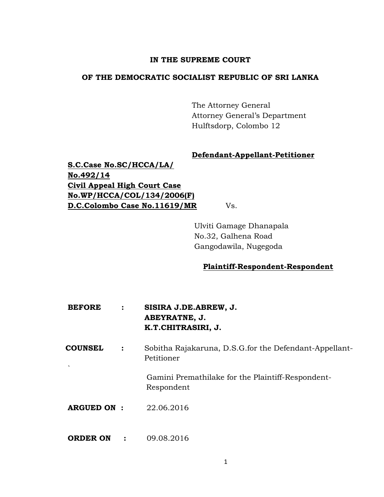## **IN THE SUPREME COURT**

## **OF THE DEMOCRATIC SOCIALIST REPUBLIC OF SRI LANKA**

The Attorney General Attorney General's Department Hulftsdorp, Colombo 12

## **Defendant-Appellant-Petitioner**

**S.C.Case No.SC/HCCA/LA/ No.492/14 Civil Appeal High Court Case No.WP/HCCA/COL/134/2006(F) D.C.Colombo Case No.11619/MR** Vs.

Ulviti Gamage Dhanapala No.32, Galhena Road Gangodawila, Nugegoda

## **Plaintiff-Respondent-Respondent**

- **BEFORE : SISIRA J.DE.ABREW, J. ABEYRATNE, J. K.T.CHITRASIRI, J.**
- **COUNSEL :** Sobitha Rajakaruna, D.S.G.for the Defendant-Appellant- Petitioner

Gamini Premathilake for the Plaintiff-Respondent- Respondent

**ARGUED ON :** 22.06.2016

`

**ORDER ON : 09.08.2016**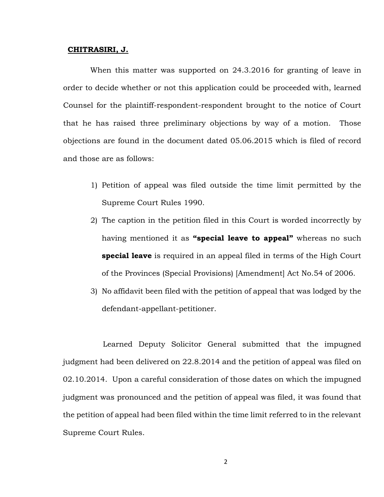#### **CHITRASIRI, J.**

When this matter was supported on 24.3.2016 for granting of leave in order to decide whether or not this application could be proceeded with, learned Counsel for the plaintiff-respondent-respondent brought to the notice of Court that he has raised three preliminary objections by way of a motion. Those objections are found in the document dated 05.06.2015 which is filed of record and those are as follows:

- 1) Petition of appeal was filed outside the time limit permitted by the Supreme Court Rules 1990.
- 2) The caption in the petition filed in this Court is worded incorrectly by having mentioned it as **"special leave to appeal"** whereas no such **special leave** is required in an appeal filed in terms of the High Court of the Provinces (Special Provisions) [Amendment] Act No.54 of 2006.
- 3) No affidavit been filed with the petition of appeal that was lodged by the defendant-appellant-petitioner.

Learned Deputy Solicitor General submitted that the impugned judgment had been delivered on 22.8.2014 and the petition of appeal was filed on 02.10.2014. Upon a careful consideration of those dates on which the impugned judgment was pronounced and the petition of appeal was filed, it was found that the petition of appeal had been filed within the time limit referred to in the relevant Supreme Court Rules.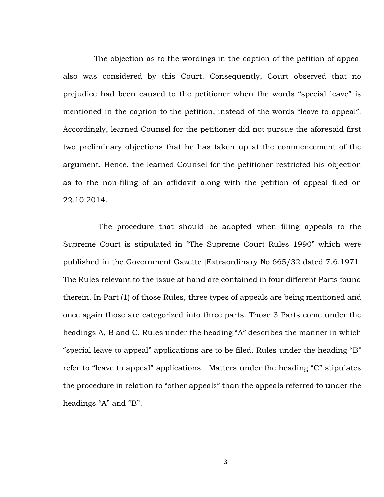The objection as to the wordings in the caption of the petition of appeal also was considered by this Court. Consequently, Court observed that no prejudice had been caused to the petitioner when the words "special leave" is mentioned in the caption to the petition, instead of the words "leave to appeal". Accordingly, learned Counsel for the petitioner did not pursue the aforesaid first two preliminary objections that he has taken up at the commencement of the argument. Hence, the learned Counsel for the petitioner restricted his objection as to the non-filing of an affidavit along with the petition of appeal filed on 22.10.2014.

The procedure that should be adopted when filing appeals to the Supreme Court is stipulated in "The Supreme Court Rules 1990" which were published in the Government Gazette [Extraordinary No.665/32 dated 7.6.1971. The Rules relevant to the issue at hand are contained in four different Parts found therein. In Part (1) of those Rules, three types of appeals are being mentioned and once again those are categorized into three parts. Those 3 Parts come under the headings A, B and C. Rules under the heading "A" describes the manner in which "special leave to appeal" applications are to be filed. Rules under the heading "B" refer to "leave to appeal" applications. Matters under the heading "C" stipulates the procedure in relation to "other appeals" than the appeals referred to under the headings "A" and "B".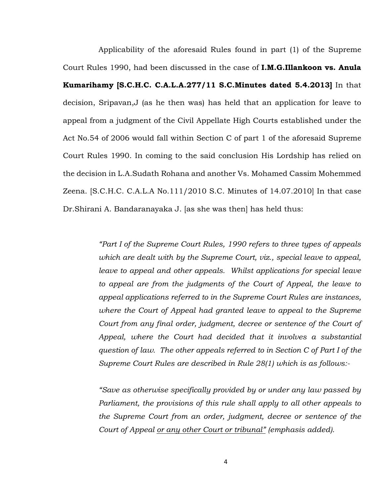Applicability of the aforesaid Rules found in part (1) of the Supreme Court Rules 1990, had been discussed in the case of **I.M.G.Illankoon vs. Anula Kumarihamy [S.C.H.C. C.A.L.A.277/11 S.C.Minutes dated 5.4.2013]** In that decision, Sripavan,J (as he then was) has held that an application for leave to appeal from a judgment of the Civil Appellate High Courts established under the Act No.54 of 2006 would fall within Section C of part 1 of the aforesaid Supreme Court Rules 1990. In coming to the said conclusion His Lordship has relied on the decision in L.A.Sudath Rohana and another Vs. Mohamed Cassim Mohemmed Zeena. [S.C.H.C. C.A.L.A No.111/2010 S.C. Minutes of 14.07.2010] In that case Dr.Shirani A. Bandaranayaka J. [as she was then] has held thus:

> *"Part I of the Supreme Court Rules, 1990 refers to three types of appeals which are dealt with by the Supreme Court, viz., special leave to appeal, leave to appeal and other appeals. Whilst applications for special leave to appeal are from the judgments of the Court of Appeal, the leave to appeal applications referred to in the Supreme Court Rules are instances, where the Court of Appeal had granted leave to appeal to the Supreme Court from any final order, judgment, decree or sentence of the Court of Appeal, where the Court had decided that it involves a substantial question of law. The other appeals referred to in Section C of Part I of the Supreme Court Rules are described in Rule 28(1) which is as follows:-*

> *"Save as otherwise specifically provided by or under any law passed by Parliament, the provisions of this rule shall apply to all other appeals to the Supreme Court from an order, judgment, decree or sentence of the Court of Appeal or any other Court or tribunal" (emphasis added).*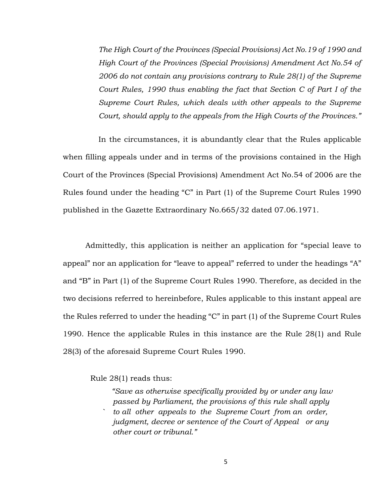*The High Court of the Provinces (Special Provisions) Act No.19 of 1990 and High Court of the Provinces (Special Provisions) Amendment Act No.54 of 2006 do not contain any provisions contrary to Rule 28(1) of the Supreme Court Rules, 1990 thus enabling the fact that Section C of Part I of the Supreme Court Rules, which deals with other appeals to the Supreme Court, should apply to the appeals from the High Courts of the Provinces."*

In the circumstances, it is abundantly clear that the Rules applicable when filling appeals under and in terms of the provisions contained in the High Court of the Provinces (Special Provisions) Amendment Act No.54 of 2006 are the Rules found under the heading "C" in Part (1) of the Supreme Court Rules 1990 published in the Gazette Extraordinary No.665/32 dated 07.06.1971.

Admittedly, this application is neither an application for "special leave to appeal" nor an application for "leave to appeal" referred to under the headings "A" and "B" in Part (1) of the Supreme Court Rules 1990. Therefore, as decided in the two decisions referred to hereinbefore, Rules applicable to this instant appeal are the Rules referred to under the heading "C" in part (1) of the Supreme Court Rules 1990. Hence the applicable Rules in this instance are the Rule 28(1) and Rule 28(3) of the aforesaid Supreme Court Rules 1990.

Rule 28(1) reads thus:

 *"Save as otherwise specifically provided by or under any law passed by Parliament, the provisions of this rule shall apply ` to all other appeals to the Supreme Court from an order, judgment, decree or sentence of the Court of Appeal or any other court or tribunal."*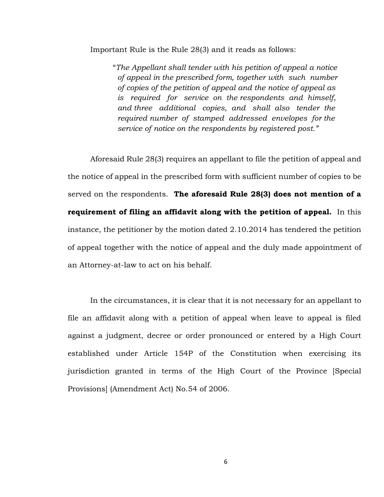Important Rule is the Rule 28(3) and it reads as follows:

"*The Appellant shall tender with his petition of appeal a notice of appeal in the prescribed form, together with such number of copies of the petition of appeal and the notice of appeal as is required for service on the respondents and himself, and three additional copies, and shall also tender the required number of stamped addressed envelopes for the service of notice on the respondents by registered post."*

Aforesaid Rule 28(3) requires an appellant to file the petition of appeal and the notice of appeal in the prescribed form with sufficient number of copies to be served on the respondents. **The aforesaid Rule 28(3) does not mention of a requirement of filing an affidavit along with the petition of appeal.** In this instance, the petitioner by the motion dated 2.10.2014 has tendered the petition of appeal together with the notice of appeal and the duly made appointment of an Attorney-at-law to act on his behalf.

In the circumstances, it is clear that it is not necessary for an appellant to file an affidavit along with a petition of appeal when leave to appeal is filed against a judgment, decree or order pronounced or entered by a High Court established under Article 154P of the Constitution when exercising its jurisdiction granted in terms of the High Court of the Province [Special Provisions] (Amendment Act) No.54 of 2006.